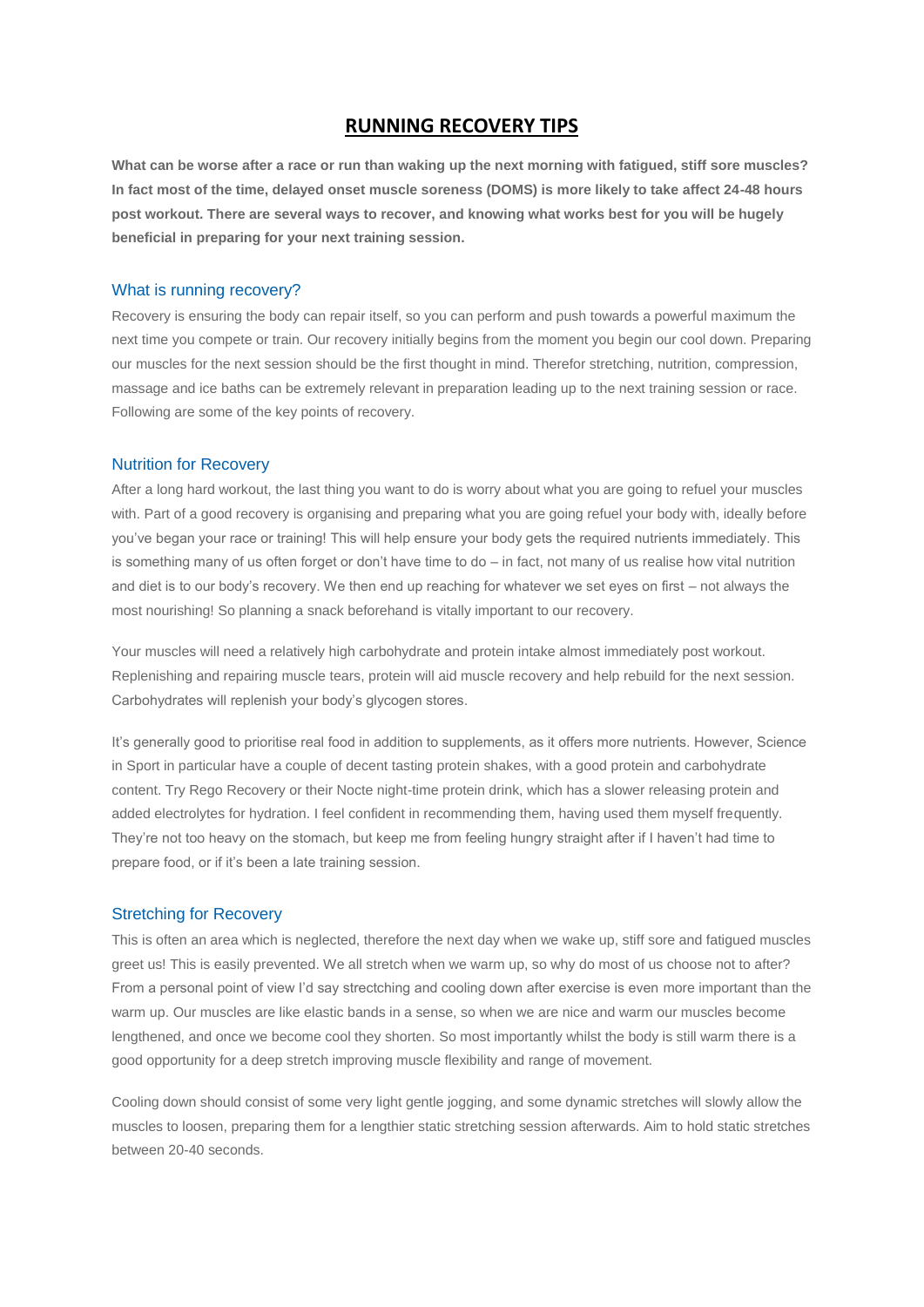# **RUNNING RECOVERY TIPS**

**What can be worse after a race or run than waking up the next morning with fatigued, stiff sore muscles? In fact most of the time, delayed onset muscle soreness (DOMS) is more likely to take affect 24-48 hours post workout. There are several ways to recover, and knowing what works best for you will be hugely beneficial in preparing for your next training session.**

## What is running recovery?

Recovery is ensuring the body can repair itself, so you can perform and push towards a powerful maximum the next time you compete or train. Our recovery initially begins from the moment you begin our cool down. Preparing our muscles for the next session should be the first thought in mind. Therefor stretching, nutrition, compression, massage and ice baths can be extremely relevant in preparation leading up to the next training session or race. Following are some of the key points of recovery.

#### Nutrition for Recovery

After a long hard workout, the last thing you want to do is worry about what you are going to refuel your muscles with. Part of a good recovery is organising and preparing what you are going refuel your body with, ideally before you've began your race or training! This will help ensure your body gets the required nutrients immediately. This is something many of us often forget or don't have time to do – in fact, not many of us realise how vital nutrition and diet is to our body's recovery. We then end up reaching for whatever we set eyes on first – not always the most nourishing! So planning a snack beforehand is vitally important to our recovery.

Your muscles will need a relatively high carbohydrate and protein intake almost immediately post workout. Replenishing and repairing muscle tears, protein will aid muscle recovery and help rebuild for the next session. Carbohydrates will replenish your body's glycogen stores.

It's generally good to prioritise real food in addition to supplements, as it offers more nutrients. However, Science in Sport in particular have a couple of decent tasting protein shakes, with a good protein and carbohydrate content. Try Rego Recovery or their Nocte night-time protein drink, which has a slower releasing protein and added electrolytes for hydration. I feel confident in recommending them, having used them myself frequently. They're not too heavy on the stomach, but keep me from feeling hungry straight after if I haven't had time to prepare food, or if it's been a late training session.

## Stretching for Recovery

This is often an area which is neglected, therefore the next day when we wake up, stiff sore and fatigued muscles greet us! This is easily prevented. We all stretch when we warm up, so why do most of us choose not to after? From a personal point of view I'd say strectching and cooling down after exercise is even more important than the warm up. Our muscles are like elastic bands in a sense, so when we are nice and warm our muscles become lengthened, and once we become cool they shorten. So most importantly whilst the body is still warm there is a good opportunity for a deep stretch improving muscle flexibility and range of movement.

Cooling down should consist of some very light gentle jogging, and some dynamic stretches will slowly allow the muscles to loosen, preparing them for a lengthier static stretching session afterwards. Aim to hold static stretches between 20-40 seconds.